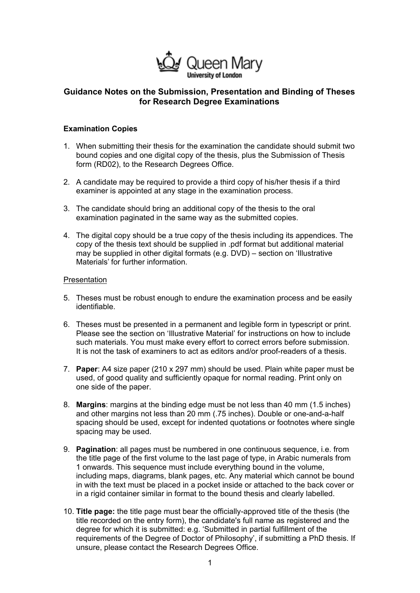

# **Guidance Notes on the Submission, Presentation and Binding of Theses for Research Degree Examinations**

### **Examination Copies**

- 1. When submitting their thesis for the examination the candidate should submit two bound copies and one digital copy of the thesis, plus the Submission of Thesis form (RD02), to the Research Degrees Office.
- 2. A candidate may be required to provide a third copy of his/her thesis if a third examiner is appointed at any stage in the examination process.
- 3. The candidate should bring an additional copy of the thesis to the oral examination paginated in the same way as the submitted copies.
- 4. The digital copy should be a true copy of the thesis including its appendices. The copy of the thesis text should be supplied in .pdf format but additional material may be supplied in other digital formats (e.g. DVD) – section on 'Illustrative Materials' for further information.

#### **Presentation**

- 5. Theses must be robust enough to endure the examination process and be easily identifiable.
- 6. Theses must be presented in a permanent and legible form in typescript or print. Please see the section on 'Illustrative Material' for instructions on how to include such materials. You must make every effort to correct errors before submission. It is not the task of examiners to act as editors and/or proof-readers of a thesis.
- 7. **Paper**: A4 size paper (210 x 297 mm) should be used. Plain white paper must be used, of good quality and sufficiently opaque for normal reading. Print only on one side of the paper.
- 8. **Margins**: margins at the binding edge must be not less than 40 mm (1.5 inches) and other margins not less than 20 mm (.75 inches). Double or one-and-a-half spacing should be used, except for indented quotations or footnotes where single spacing may be used.
- 9. **Pagination**: all pages must be numbered in one continuous sequence, i.e. from the title page of the first volume to the last page of type, in Arabic numerals from 1 onwards. This sequence must include everything bound in the volume, including maps, diagrams, blank pages, etc. Any material which cannot be bound in with the text must be placed in a pocket inside or attached to the back cover or in a rigid container similar in format to the bound thesis and clearly labelled.
- 10. **Title page:** the title page must bear the officially-approved title of the thesis (the title recorded on the entry form), the candidate's full name as registered and the degree for which it is submitted: e.g. 'Submitted in partial fulfillment of the requirements of the Degree of Doctor of Philosophy', if submitting a PhD thesis. If unsure, please contact the Research Degrees Office.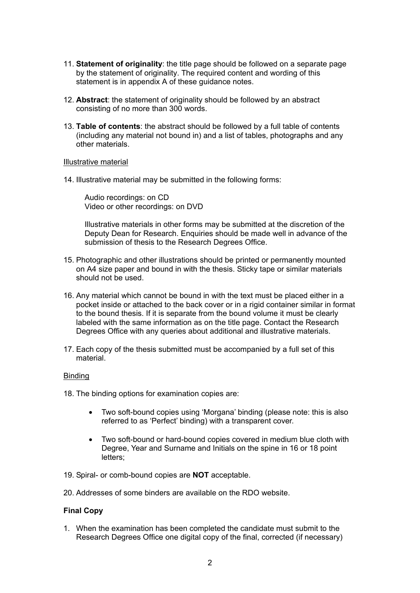- 11. **Statement of originality**: the title page should be followed on a separate page by the statement of originality. The required content and wording of this statement is in appendix A of these guidance notes.
- 12. **Abstract**: the statement of originality should be followed by an abstract consisting of no more than 300 words.
- 13. **Table of contents**: the abstract should be followed by a full table of contents (including any material not bound in) and a list of tables, photographs and any other materials.

#### Illustrative material

14. Illustrative material may be submitted in the following forms:

Audio recordings: on CD Video or other recordings: on DVD

Illustrative materials in other forms may be submitted at the discretion of the Deputy Dean for Research. Enquiries should be made well in advance of the submission of thesis to the Research Degrees Office.

- 15. Photographic and other illustrations should be printed or permanently mounted on A4 size paper and bound in with the thesis. Sticky tape or similar materials should not be used.
- 16. Any material which cannot be bound in with the text must be placed either in a pocket inside or attached to the back cover or in a rigid container similar in format to the bound thesis. If it is separate from the bound volume it must be clearly labeled with the same information as on the title page. Contact the Research Degrees Office with any queries about additional and illustrative materials.
- 17. Each copy of the thesis submitted must be accompanied by a full set of this material.

#### Binding

18. The binding options for examination copies are:

- Two soft-bound copies using 'Morgana' binding (please note: this is also referred to as 'Perfect' binding) with a transparent cover.
- Two soft-bound or hard-bound copies covered in medium blue cloth with Degree, Year and Surname and Initials on the spine in 16 or 18 point letters;
- 19. Spiral- or comb-bound copies are **NOT** acceptable.
- 20. Addresses of some binders are available on the RDO website.

#### **Final Copy**

1. When the examination has been completed the candidate must submit to the Research Degrees Office one digital copy of the final, corrected (if necessary)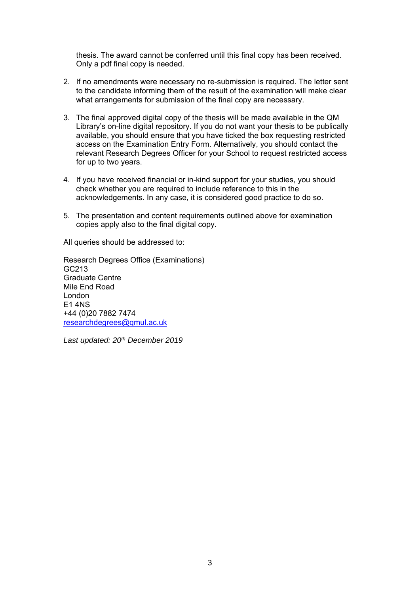thesis. The award cannot be conferred until this final copy has been received. Only a pdf final copy is needed.

- 2. If no amendments were necessary no re-submission is required. The letter sent to the candidate informing them of the result of the examination will make clear what arrangements for submission of the final copy are necessary.
- 3. The final approved digital copy of the thesis will be made available in the QM Library's on-line digital repository. If you do not want your thesis to be publically available, you should ensure that you have ticked the box requesting restricted access on the Examination Entry Form. Alternatively, you should contact the relevant Research Degrees Officer for your School to request restricted access for up to two years.
- 4. If you have received financial or in-kind support for your studies, you should check whether you are required to include reference to this in the acknowledgements. In any case, it is considered good practice to do so.
- 5. The presentation and content requirements outlined above for examination copies apply also to the final digital copy.

All queries should be addressed to:

Research Degrees Office (Examinations) GC213 Graduate Centre Mile End Road London E1 4NS +44 (0)20 7882 7474 researchdegrees@qmul.ac.uk

*Last updated: 20th December 2019*